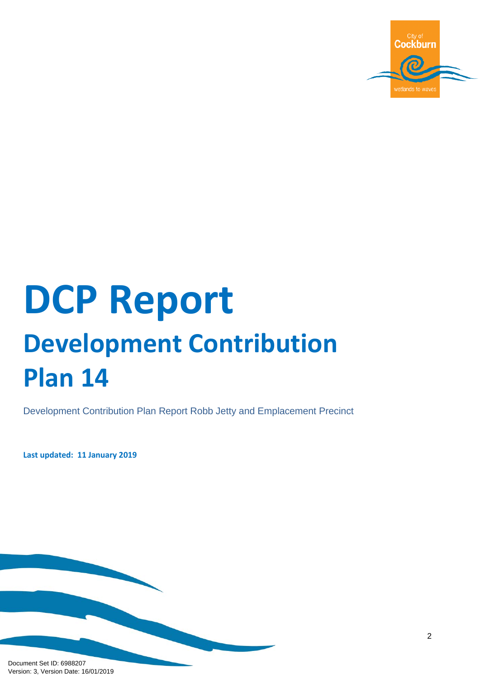

# **DCP Report Development Contribution Plan 14**

Development Contribution Plan Report Robb Jetty and Emplacement Precinct

**Last updated: 11 January 2019**

Document Set ID: 6988207<br>Version: 3, Version Date: 16/01/2019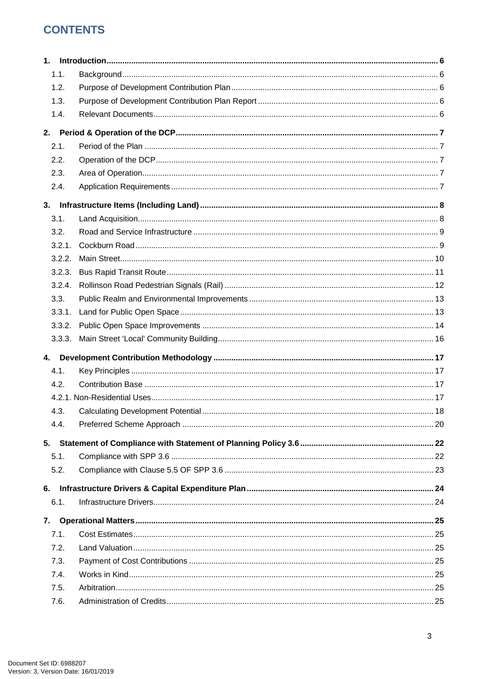# **CONTENTS**

| 1. |        |  |
|----|--------|--|
|    | 1.1.   |  |
|    | 1.2.   |  |
|    | 1.3.   |  |
|    | 1.4.   |  |
| 2. |        |  |
|    | 2.1.   |  |
|    | 2.2.   |  |
|    | 2.3.   |  |
|    | 2.4.   |  |
| 3. |        |  |
|    | 3.1.   |  |
|    | 3.2.   |  |
|    | 3.2.1. |  |
|    | 3.2.2. |  |
|    | 3.2.3. |  |
|    | 3.2.4. |  |
|    | 3.3.   |  |
|    | 3.3.1. |  |
|    | 3.3.2. |  |
|    | 3.3.3. |  |
| 4. |        |  |
|    | 4.1.   |  |
|    | 4.2.   |  |
|    |        |  |
|    | 4.3.   |  |
|    | 4.4.   |  |
| 5. |        |  |
|    | 5.1.   |  |
|    | 5.2.   |  |
|    |        |  |
| 6. |        |  |
|    | 6.1.   |  |
| 7. |        |  |
|    | 7.1.   |  |
|    | 7.2.   |  |
|    | 7.3.   |  |
|    | 7.4.   |  |
|    | 7.5.   |  |
|    | 7.6.   |  |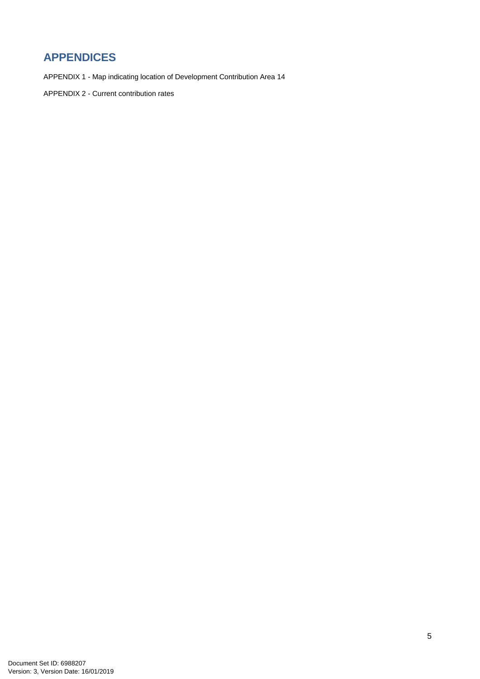# **APPENDICES**

APPENDIX 1 - Map indicating location of Development Contribution Area 14

APPENDIX 2 - Current contribution rates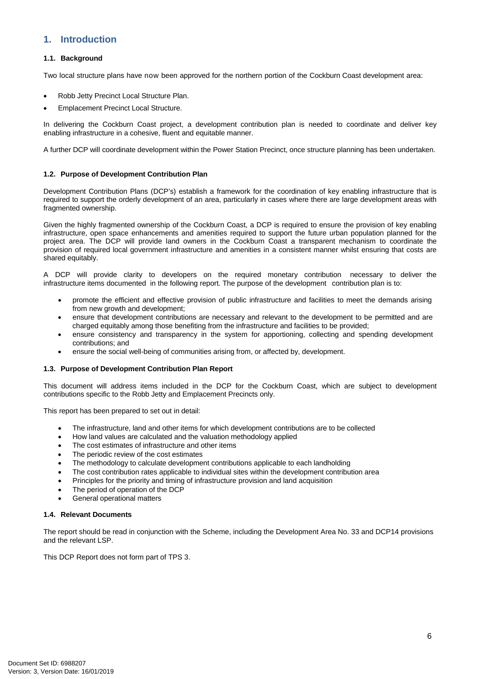# <span id="page-4-0"></span>**1. Introduction**

#### <span id="page-4-1"></span>**1.1. Background**

Two local structure plans have now been approved for the northern portion of the Cockburn Coast development area:

- Robb Jetty Precinct Local Structure Plan.
- Emplacement Precinct Local Structure.

In delivering the Cockburn Coast project, a development contribution plan is needed to coordinate and deliver key enabling infrastructure in a cohesive, fluent and equitable manner.

A further DCP will coordinate development within the Power Station Precinct, once structure planning has been undertaken.

#### <span id="page-4-2"></span>**1.2. Purpose of Development Contribution Plan**

Development Contribution Plans (DCP's) establish a framework for the coordination of key enabling infrastructure that is required to support the orderly development of an area, particularly in cases where there are large development areas with fragmented ownership.

Given the highly fragmented ownership of the Cockburn Coast, a DCP is required to ensure the provision of key enabling infrastructure, open space enhancements and amenities required to support the future urban population planned for the project area. The DCP will provide land owners in the Cockburn Coast a transparent mechanism to coordinate the provision of required local government infrastructure and amenities in a consistent manner whilst ensuring that costs are shared equitably.

A DCP will provide clarity to developers on the required monetary contribution necessary to deliver the infrastructure items documented in the following report. The purpose of the development contribution plan is to:

- promote the efficient and effective provision of public infrastructure and facilities to meet the demands arising from new growth and development;
- ensure that development contributions are necessary and relevant to the development to be permitted and are charged equitably among those benefiting from the infrastructure and facilities to be provided;
- ensure consistency and transparency in the system for apportioning, collecting and spending development contributions; and
- ensure the social well-being of communities arising from, or affected by, development.

#### <span id="page-4-3"></span>**1.3. Purpose of Development Contribution Plan Report**

This document will address items included in the DCP for the Cockburn Coast, which are subject to development contributions specific to the Robb Jetty and Emplacement Precincts only.

This report has been prepared to set out in detail:

- The infrastructure, land and other items for which development contributions are to be collected
- How land values are calculated and the valuation methodology applied
- The cost estimates of infrastructure and other items
- The periodic review of the cost estimates
- The methodology to calculate development contributions applicable to each landholding
- The cost contribution rates applicable to individual sites within the development contribution area
- Principles for the priority and timing of infrastructure provision and land acquisition
- The period of operation of the DCP
- General operational matters

#### <span id="page-4-4"></span>**1.4. Relevant Documents**

The report should be read in conjunction with the Scheme, including the Development Area No. 33 and DCP14 provisions and the relevant LSP.

This DCP Report does not form part of TPS 3.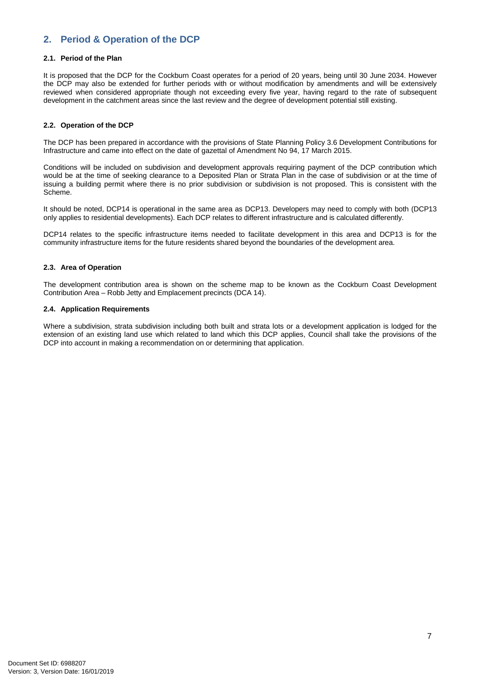# <span id="page-5-0"></span>**2. Period & Operation of the DCP**

#### <span id="page-5-1"></span>**2.1. Period of the Plan**

It is proposed that the DCP for the Cockburn Coast operates for a period of 20 years, being until 30 June 2034. However the DCP may also be extended for further periods with or without modification by amendments and will be extensively reviewed when considered appropriate though not exceeding every five year, having regard to the rate of subsequent development in the catchment areas since the last review and the degree of development potential still existing.

#### <span id="page-5-2"></span>**2.2. Operation of the DCP**

The DCP has been prepared in accordance with the provisions of State Planning Policy 3.6 Development Contributions for Infrastructure and came into effect on the date of gazettal of Amendment No 94, 17 March 2015.

Conditions will be included on subdivision and development approvals requiring payment of the DCP contribution which would be at the time of seeking clearance to a Deposited Plan or Strata Plan in the case of subdivision or at the time of issuing a building permit where there is no prior subdivision or subdivision is not proposed. This is consistent with the Scheme.

It should be noted, DCP14 is operational in the same area as DCP13. Developers may need to comply with both (DCP13 only applies to residential developments). Each DCP relates to different infrastructure and is calculated differently.

DCP14 relates to the specific infrastructure items needed to facilitate development in this area and DCP13 is for the community infrastructure items for the future residents shared beyond the boundaries of the development area.

#### <span id="page-5-3"></span>**2.3. Area of Operation**

The development contribution area is shown on the scheme map to be known as the Cockburn Coast Development Contribution Area – Robb Jetty and Emplacement precincts (DCA 14).

#### <span id="page-5-4"></span>**2.4. Application Requirements**

Where a subdivision, strata subdivision including both built and strata lots or a development application is lodged for the extension of an existing land use which related to land which this DCP applies, Council shall take the provisions of the DCP into account in making a recommendation on or determining that application.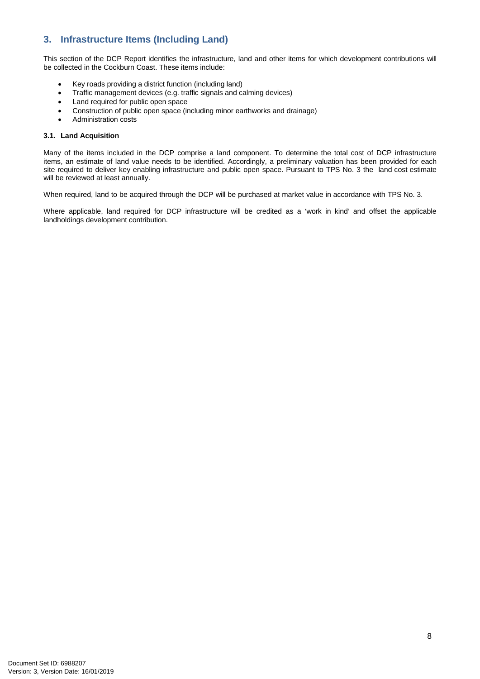# <span id="page-6-0"></span>**3. Infrastructure Items (Including Land)**

This section of the DCP Report identifies the infrastructure, land and other items for which development contributions will be collected in the Cockburn Coast. These items include:

- Key roads providing a district function (including land)
- Traffic management devices (e.g. traffic signals and calming devices)
- Land required for public open space
- Construction of public open space (including minor earthworks and drainage)
- Administration costs

#### <span id="page-6-1"></span>**3.1. Land Acquisition**

Many of the items included in the DCP comprise a land component. To determine the total cost of DCP infrastructure items, an estimate of land value needs to be identified. Accordingly, a preliminary valuation has been provided for each site required to deliver key enabling infrastructure and public open space. Pursuant to TPS No. 3 the land cost estimate will be reviewed at least annually.

When required, land to be acquired through the DCP will be purchased at market value in accordance with TPS No. 3.

Where applicable, land required for DCP infrastructure will be credited as a 'work in kind' and offset the applicable landholdings development contribution.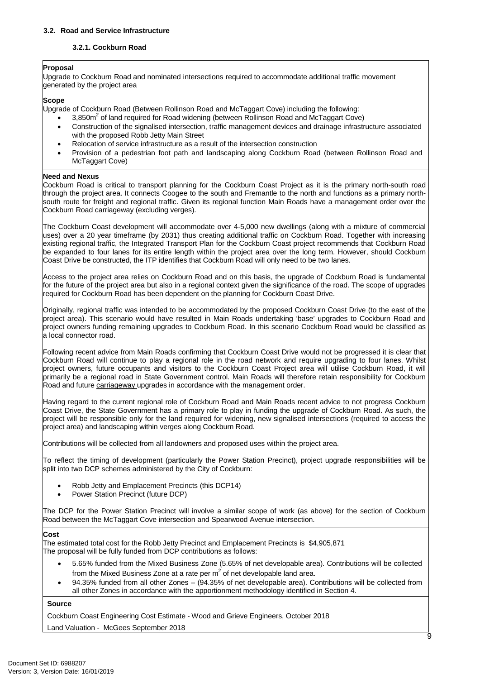#### <span id="page-7-1"></span><span id="page-7-0"></span>**3.2. Road and Service Infrastructure**

#### **3.2.1. Cockburn Road**

#### **Proposal**

Upgrade to Cockburn Road and nominated intersections required to accommodate additional traffic movement generated by the project area

#### **Scope**

Upgrade of Cockburn Road (Between Rollinson Road and McTaggart Cove) including the following:

- 3,850m<sup>2</sup> of land required for Road widening (between Rollinson Road and McTaggart Cove)
- Construction of the signalised intersection, traffic management devices and drainage infrastructure associated with the proposed Robb Jetty Main Street
- Relocation of service infrastructure as a result of the intersection construction
- Provision of a pedestrian foot path and landscaping along Cockburn Road (between Rollinson Road and McTaggart Cove)

#### **Need and Nexus**

Cockburn Road is critical to transport planning for the Cockburn Coast Project as it is the primary north-south road through the project area. It connects Coogee to the south and Fremantle to the north and functions as a primary northsouth route for freight and regional traffic. Given its regional function Main Roads have a management order over the Cockburn Road carriageway (excluding verges).

The Cockburn Coast development will accommodate over 4-5,000 new dwellings (along with a mixture of commercial uses) over a 20 year timeframe (by 2031) thus creating additional traffic on Cockburn Road. Together with increasing existing regional traffic, the Integrated Transport Plan for the Cockburn Coast project recommends that Cockburn Road be expanded to four lanes for its entire length within the project area over the long term. However, should Cockburn Coast Drive be constructed, the ITP identifies that Cockburn Road will only need to be two lanes.

Access to the project area relies on Cockburn Road and on this basis, the upgrade of Cockburn Road is fundamental for the future of the project area but also in a regional context given the significance of the road. The scope of upgrades required for Cockburn Road has been dependent on the planning for Cockburn Coast Drive.

Originally, regional traffic was intended to be accommodated by the proposed Cockburn Coast Drive (to the east of the project area). This scenario would have resulted in Main Roads undertaking 'base' upgrades to Cockburn Road and project owners funding remaining upgrades to Cockburn Road. In this scenario Cockburn Road would be classified as a local connector road.

Following recent advice from Main Roads confirming that Cockburn Coast Drive would not be progressed it is clear that Cockburn Road will continue to play a regional role in the road network and require upgrading to four lanes. Whilst project owners, future occupants and visitors to the Cockburn Coast Project area will utilise Cockburn Road, it will primarily be a regional road in State Government control. Main Roads will therefore retain responsibility for Cockburn Road and future carriageway upgrades in accordance with the management order.

Having regard to the current regional role of Cockburn Road and Main Roads recent advice to not progress Cockburn Coast Drive, the State Government has a primary role to play in funding the upgrade of Cockburn Road. As such, the project will be responsible only for the land required for widening, new signalised intersections (required to access the project area) and landscaping within verges along Cockburn Road.

Contributions will be collected from all landowners and proposed uses within the project area.

To reflect the timing of development (particularly the Power Station Precinct), project upgrade responsibilities will be split into two DCP schemes administered by the City of Cockburn:

- Robb Jetty and Emplacement Precincts (this DCP14)
- Power Station Precinct (future DCP)

The DCP for the Power Station Precinct will involve a similar scope of work (as above) for the section of Cockburn Road between the McTaggart Cove intersection and Spearwood Avenue intersection.

#### **Cost**

The estimated total cost for the Robb Jetty Precinct and Emplacement Precincts is \$4,905,871 The proposal will be fully funded from DCP contributions as follows:

- 5.65% funded from the Mixed Business Zone (5.65% of net developable area). Contributions will be collected from the Mixed Business Zone at a rate per  $m^2$  of net developable land area.
- 94.35% funded from all other Zones (94.35% of net developable area). Contributions will be collected from all other Zones in accordance with the apportionment methodology identified in Section 4.

#### **Source**

Cockburn Coast Engineering Cost Estimate - Wood and Grieve Engineers, October 2018

Land Valuation - McGees September 2018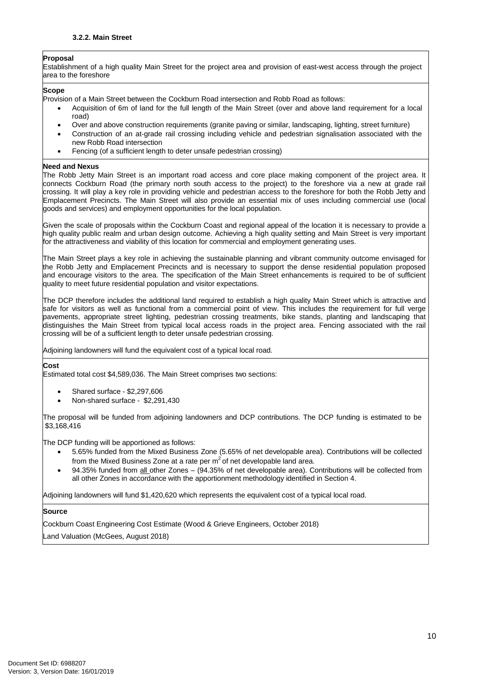#### <span id="page-8-0"></span>**Proposal**

Establishment of a high quality Main Street for the project area and provision of east-west access through the project area to the foreshore

#### **Scope**

Provision of a Main Street between the Cockburn Road intersection and Robb Road as follows:

- Acquisition of 6m of land for the full length of the Main Street (over and above land requirement for a local road)
- Over and above construction requirements (granite paving or similar, landscaping, lighting, street furniture)
- Construction of an at-grade rail crossing including vehicle and pedestrian signalisation associated with the new Robb Road intersection
- Fencing (of a sufficient length to deter unsafe pedestrian crossing)

#### **Need and Nexus**

The Robb Jetty Main Street is an important road access and core place making component of the project area. It connects Cockburn Road (the primary north south access to the project) to the foreshore via a new at grade rail crossing. It will play a key role in providing vehicle and pedestrian access to the foreshore for both the Robb Jetty and Emplacement Precincts. The Main Street will also provide an essential mix of uses including commercial use (local goods and services) and employment opportunities for the local population.

Given the scale of proposals within the Cockburn Coast and regional appeal of the location it is necessary to provide a high quality public realm and urban design outcome. Achieving a high quality setting and Main Street is very important for the attractiveness and viability of this location for commercial and employment generating uses.

The Main Street plays a key role in achieving the sustainable planning and vibrant community outcome envisaged for the Robb Jetty and Emplacement Precincts and is necessary to support the dense residential population proposed and encourage visitors to the area. The specification of the Main Street enhancements is required to be of sufficient quality to meet future residential population and visitor expectations.

The DCP therefore includes the additional land required to establish a high quality Main Street which is attractive and safe for visitors as well as functional from a commercial point of view. This includes the requirement for full verge pavements, appropriate street lighting, pedestrian crossing treatments, bike stands, planting and landscaping that distinguishes the Main Street from typical local access roads in the project area. Fencing associated with the rail crossing will be of a sufficient length to deter unsafe pedestrian crossing.

Adjoining landowners will fund the equivalent cost of a typical local road.

#### **Cost**

Estimated total cost \$4,589,036. The Main Street comprises two sections:

- Shared surface \$2,297,606
- Non-shared surface \$2,291,430

The proposal will be funded from adjoining landowners and DCP contributions. The DCP funding is estimated to be \$3,168,416

The DCP funding will be apportioned as follows:

- 5.65% funded from the Mixed Business Zone (5.65% of net developable area). Contributions will be collected from the Mixed Business Zone at a rate per  $m^2$  of net developable land area.
- 94.35% funded from all other Zones (94.35% of net developable area). Contributions will be collected from all other Zones in accordance with the apportionment methodology identified in Section 4.

Adjoining landowners will fund \$1,420,620 which represents the equivalent cost of a typical local road.

#### **Source**

Cockburn Coast Engineering Cost Estimate (Wood & Grieve Engineers, October 2018) Land Valuation (McGees, August 2018)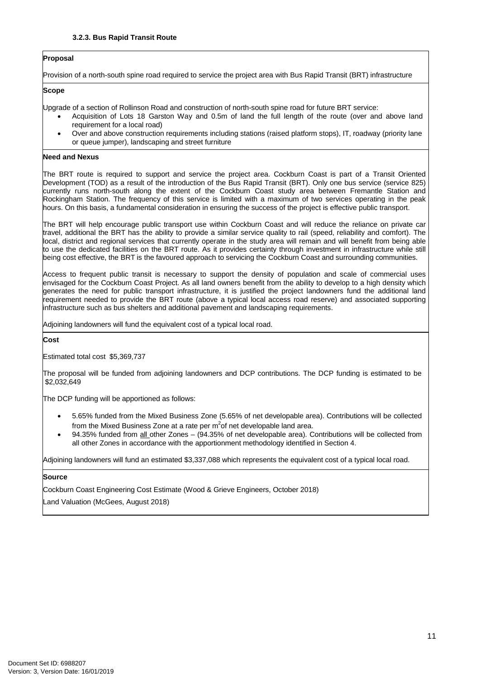#### <span id="page-9-0"></span>**Proposal**

Provision of a north-south spine road required to service the project area with Bus Rapid Transit (BRT) infrastructure

#### **Scope**

Upgrade of a section of Rollinson Road and construction of north-south spine road for future BRT service:

- Acquisition of Lots 18 Garston Way and 0.5m of land the full length of the route (over and above land requirement for a local road)
- Over and above construction requirements including stations (raised platform stops), IT, roadway (priority lane or queue jumper), landscaping and street furniture

#### **Need and Nexus**

The BRT route is required to support and service the project area. Cockburn Coast is part of a Transit Oriented Development (TOD) as a result of the introduction of the Bus Rapid Transit (BRT). Only one bus service (service 825) currently runs north-south along the extent of the Cockburn Coast study area between Fremantle Station and Rockingham Station. The frequency of this service is limited with a maximum of two services operating in the peak hours. On this basis, a fundamental consideration in ensuring the success of the project is effective public transport.

The BRT will help encourage public transport use within Cockburn Coast and will reduce the reliance on private car travel, additional the BRT has the ability to provide a similar service quality to rail (speed, reliability and comfort). The local, district and regional services that currently operate in the study area will remain and will benefit from being able to use the dedicated facilities on the BRT route. As it provides certainty through investment in infrastructure while still being cost effective, the BRT is the favoured approach to servicing the Cockburn Coast and surrounding communities.

Access to frequent public transit is necessary to support the density of population and scale of commercial uses envisaged for the Cockburn Coast Project. As all land owners benefit from the ability to develop to a high density which generates the need for public transport infrastructure, it is justified the project landowners fund the additional land requirement needed to provide the BRT route (above a typical local access road reserve) and associated supporting infrastructure such as bus shelters and additional pavement and landscaping requirements.

Adjoining landowners will fund the equivalent cost of a typical local road.

**Cost**

Estimated total cost \$5,369,737

The proposal will be funded from adjoining landowners and DCP contributions. The DCP funding is estimated to be \$2,032,649

The DCP funding will be apportioned as follows:

- 5.65% funded from the Mixed Business Zone (5.65% of net developable area). Contributions will be collected from the Mixed Business Zone at a rate per m<sup>2</sup>of net developable land area.
- 94.35% funded from all other Zones (94.35% of net developable area). Contributions will be collected from all other Zones in accordance with the apportionment methodology identified in Section 4.

Adjoining landowners will fund an estimated \$3,337,088 which represents the equivalent cost of a typical local road.

#### **Source**

Cockburn Coast Engineering Cost Estimate (Wood & Grieve Engineers, October 2018)

Land Valuation (McGees, August 2018)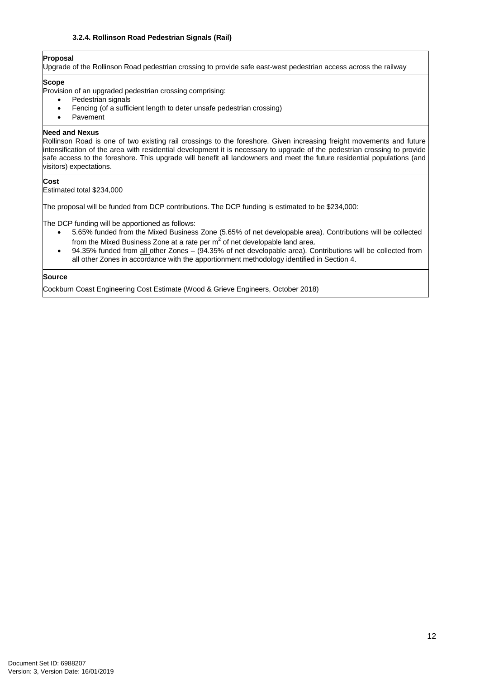#### **3.2.4. Rollinson Road Pedestrian Signals (Rail)**

# <span id="page-10-0"></span>**Proposal**

Upgrade of the Rollinson Road pedestrian crossing to provide safe east-west pedestrian access across the railway

#### **Scope**

Provision of an upgraded pedestrian crossing comprising:

- Pedestrian signals
- Fencing (of a sufficient length to deter unsafe pedestrian crossing)
- Pavement

#### **Need and Nexus**

Rollinson Road is one of two existing rail crossings to the foreshore. Given increasing freight movements and future intensification of the area with residential development it is necessary to upgrade of the pedestrian crossing to provide safe access to the foreshore. This upgrade will benefit all landowners and meet the future residential populations (and visitors) expectations.

#### **Cost**

Estimated total \$234,000

The proposal will be funded from DCP contributions. The DCP funding is estimated to be \$234,000:

The DCP funding will be apportioned as follows:

- 5.65% funded from the Mixed Business Zone (5.65% of net developable area). Contributions will be collected from the Mixed Business Zone at a rate per  $m<sup>2</sup>$  of net developable land area.
- 94.35% funded from all other Zones (94.35% of net developable area). Contributions will be collected from all other Zones in accordance with the apportionment methodology identified in Section 4.

#### **Source**

Cockburn Coast Engineering Cost Estimate (Wood & Grieve Engineers, October 2018)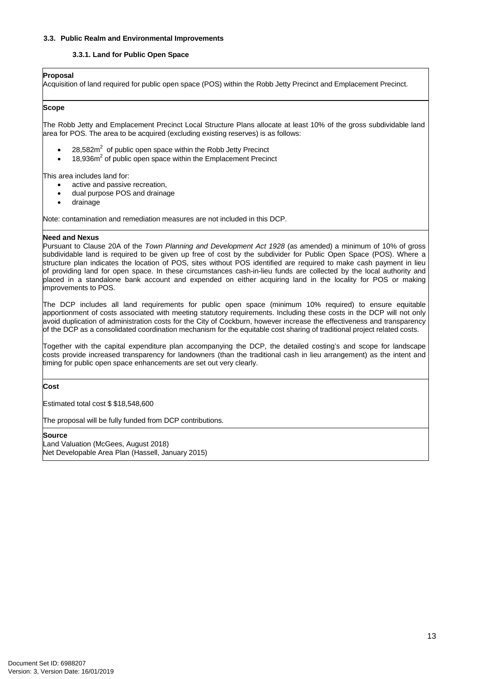#### <span id="page-11-1"></span><span id="page-11-0"></span>**3.3. Public Realm and Environmental Improvements**

#### **3.3.1. Land for Public Open Space**

#### **Proposal**

Acquisition of land required for public open space (POS) within the Robb Jetty Precinct and Emplacement Precinct.

#### **Scope**

The Robb Jetty and Emplacement Precinct Local Structure Plans allocate at least 10% of the gross subdividable land area for POS. The area to be acquired (excluding existing reserves) is as follows:

- 28,582 $m^2$  of public open space within the Robb Jetty Precinct
- $\bullet$  18,936m<sup>2</sup> of public open space within the Emplacement Precinct

This area includes land for:

- active and passive recreation,
- dual purpose POS and drainage
- drainage

Note: contamination and remediation measures are not included in this DCP.

#### **Need and Nexus**

Pursuant to Clause 20A of the *Town Planning and Development Act 1928* (as amended) a minimum of 10% of gross subdividable land is required to be given up free of cost by the subdivider for Public Open Space (POS). Where a structure plan indicates the location of POS, sites without POS identified are required to make cash payment in lieu of providing land for open space. In these circumstances cash-in-lieu funds are collected by the local authority and placed in a standalone bank account and expended on either acquiring land in the locality for POS or making improvements to POS.

The DCP includes all land requirements for public open space (minimum 10% required) to ensure equitable apportionment of costs associated with meeting statutory requirements. Including these costs in the DCP will not only avoid duplication of administration costs for the City of Cockburn, however increase the effectiveness and transparency of the DCP as a consolidated coordination mechanism for the equitable cost sharing of traditional project related costs.

Together with the capital expenditure plan accompanying the DCP, the detailed costing's and scope for landscape costs provide increased transparency for landowners (than the traditional cash in lieu arrangement) as the intent and timing for public open space enhancements are set out very clearly.

**Cost**

Estimated total cost \$ \$18,548,600

The proposal will be fully funded from DCP contributions.

**Source**

Land Valuation (McGees, August 2018) Net Developable Area Plan (Hassell, January 2015)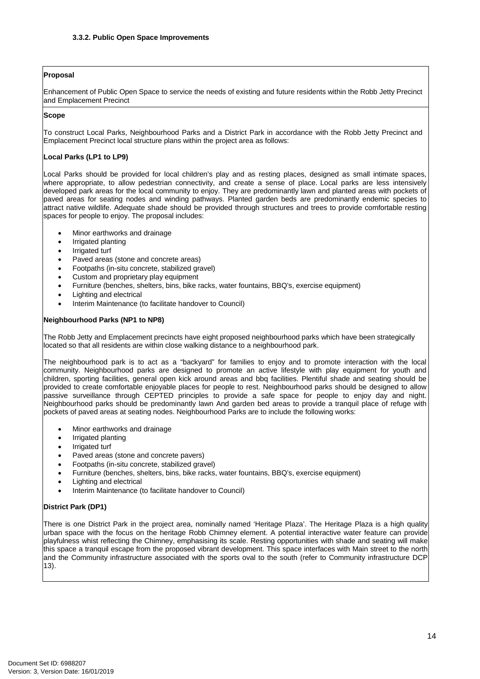#### <span id="page-12-0"></span>**Proposal**

Enhancement of Public Open Space to service the needs of existing and future residents within the Robb Jetty Precinct and Emplacement Precinct

#### **Scope**

To construct Local Parks, Neighbourhood Parks and a District Park in accordance with the Robb Jetty Precinct and Emplacement Precinct local structure plans within the project area as follows:

#### **Local Parks (LP1 to LP9)**

Local Parks should be provided for local children's play and as resting places, designed as small intimate spaces, where appropriate, to allow pedestrian connectivity, and create a sense of place. Local parks are less intensively developed park areas for the local community to enjoy. They are predominantly lawn and planted areas with pockets of paved areas for seating nodes and winding pathways. Planted garden beds are predominantly endemic species to attract native wildlife. Adequate shade should be provided through structures and trees to provide comfortable resting spaces for people to enjoy. The proposal includes:

- Minor earthworks and drainage
- Irrigated planting
- Irrigated turf
- Paved areas (stone and concrete areas)
- Footpaths (in-situ concrete, stabilized gravel)<br>• Custom and proprietary play equipment
- Custom and proprietary play equipment<br>• Furniture (benches, shelters, bins, bike r
- Furniture (benches, shelters, bins, bike racks, water fountains, BBQ's, exercise equipment)<br>• Lighting and electrical
- Lighting and electrical
- Interim Maintenance (to facilitate handover to Council)

#### **Neighbourhood Parks (NP1 to NP8)**

The Robb Jetty and Emplacement precincts have eight proposed neighbourhood parks which have been strategically located so that all residents are within close walking distance to a neighbourhood park.

The neighbourhood park is to act as a "backyard" for families to enjoy and to promote interaction with the local community. Neighbourhood parks are designed to promote an active lifestyle with play equipment for youth and children, sporting facilities, general open kick around areas and bbq facilities. Plentiful shade and seating should be provided to create comfortable enjoyable places for people to rest. Neighbourhood parks should be designed to allow passive surveillance through CEPTED principles to provide a safe space for people to enjoy day and night. Neighbourhood parks should be predominantly lawn And garden bed areas to provide a tranquil place of refuge with pockets of paved areas at seating nodes. Neighbourhood Parks are to include the following works:

- Minor earthworks and drainage
- Irrigated planting
- Irrigated turf
- Paved areas (stone and concrete pavers)
- Footpaths (in-situ concrete, stabilized gravel)
- Furniture (benches, shelters, bins, bike racks, water fountains, BBQ's, exercise equipment)
- Lighting and electrical
- Interim Maintenance (to facilitate handover to Council)

#### **District Park (DP1)**

There is one District Park in the project area, nominally named 'Heritage Plaza'. The Heritage Plaza is a high quality urban space with the focus on the heritage Robb Chimney element. A potential interactive water feature can provide playfulness whist reflecting the Chimney, emphasising its scale. Resting opportunities with shade and seating will make this space a tranquil escape from the proposed vibrant development. This space interfaces with Main street to the north and the Community infrastructure associated with the sports oval to the south (refer to Community infrastructure DCP 13).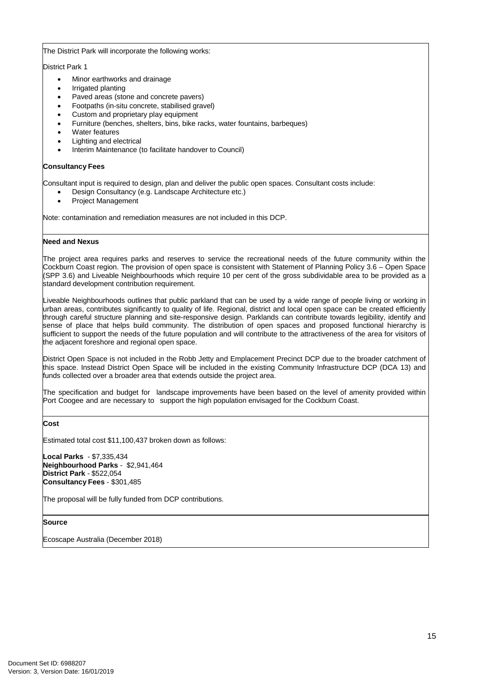#### The District Park will incorporate the following works:

District Park 1

- Minor earthworks and drainage
- Irrigated planting
- Paved areas (stone and concrete pavers)
- Footpaths (in-situ concrete, stabilised gravel)
- Custom and proprietary play equipment
- Furniture (benches, shelters, bins, bike racks, water fountains, barbeques)
- Water features
- Lighting and electrical
- Interim Maintenance (to facilitate handover to Council)

#### **Consultancy Fees**

Consultant input is required to design, plan and deliver the public open spaces. Consultant costs include:

- Design Consultancy (e.g. Landscape Architecture etc.)
- Project Management

Note: contamination and remediation measures are not included in this DCP.

#### **Need and Nexus**

The project area requires parks and reserves to service the recreational needs of the future community within the Cockburn Coast region. The provision of open space is consistent with Statement of Planning Policy 3.6 – Open Space (SPP 3.6) and Liveable Neighbourhoods which require 10 per cent of the gross subdividable area to be provided as a standard development contribution requirement.

Liveable Neighbourhoods outlines that public parkland that can be used by a wide range of people living or working in urban areas, contributes significantly to quality of life. Regional, district and local open space can be created efficiently through careful structure planning and site-responsive design. Parklands can contribute towards legibility, identify and sense of place that helps build community. The distribution of open spaces and proposed functional hierarchy is sufficient to support the needs of the future population and will contribute to the attractiveness of the area for visitors of the adjacent foreshore and regional open space.

District Open Space is not included in the Robb Jetty and Emplacement Precinct DCP due to the broader catchment of this space. Instead District Open Space will be included in the existing Community Infrastructure DCP (DCA 13) and funds collected over a broader area that extends outside the project area.

The specification and budget for landscape improvements have been based on the level of amenity provided within Port Coogee and are necessary to support the high population envisaged for the Cockburn Coast.

**Cost**

Estimated total cost \$11,100,437 broken down as follows:

**Local Parks** - \$7,335,434 **Neighbourhood Parks** - \$2,941,464 **District Park** - \$522,054 **Consultancy Fees** - \$301,485

The proposal will be fully funded from DCP contributions.

**Source**

Ecoscape Australia (December 2018)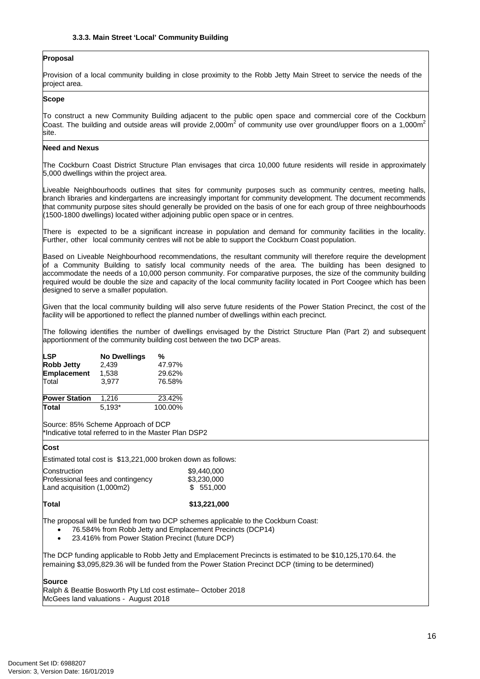#### <span id="page-14-0"></span>**Proposal**

Provision of a local community building in close proximity to the Robb Jetty Main Street to service the needs of the project area.

#### **Scope**

To construct a new Community Building adjacent to the public open space and commercial core of the Cockburn Coast. The building and outside areas will provide 2,000m<sup>2</sup> of community use over ground/upper floors on a 1,000m<sup>2</sup> site.

#### **Need and Nexus**

The Cockburn Coast District Structure Plan envisages that circa 10,000 future residents will reside in approximately 5,000 dwellings within the project area.

Liveable Neighbourhoods outlines that sites for community purposes such as community centres, meeting halls, branch libraries and kindergartens are increasingly important for community development. The document recommends that community purpose sites should generally be provided on the basis of one for each group of three neighbourhoods (1500-1800 dwellings) located wither adjoining public open space or in centres.

There is expected to be a significant increase in population and demand for community facilities in the locality. Further, other local community centres will not be able to support the Cockburn Coast population.

Based on Liveable Neighbourhood recommendations, the resultant community will therefore require the development of a Community Building to satisfy local community needs of the area. The building has been designed to accommodate the needs of a 10,000 person community. For comparative purposes, the size of the community building required would be double the size and capacity of the local community facility located in Port Coogee which has been designed to serve a smaller population.

Given that the local community building will also serve future residents of the Power Station Precinct, the cost of the facility will be apportioned to reflect the planned number of dwellings within each precinct.

The following identifies the number of dwellings envisaged by the District Structure Plan (Part 2) and subsequent apportionment of the community building cost between the two DCP areas.

| <b>LSP</b>           | <b>No Dwellings</b> | %       |
|----------------------|---------------------|---------|
| <b>Robb Jetty</b>    | 2,439               | 47.97%  |
| <b>Emplacement</b>   | 1,538               | 29.62%  |
| Total                | 3.977               | 76.58%  |
|                      |                     |         |
| <b>Power Station</b> | 1.216               | 23.42%  |
| Total                | $5.193*$            | 100.00% |

Source: 85% Scheme Approach of DCP \*Indicative total referred to in the Master Plan DSP2

#### **Cost**

Estimated total cost is \$13,221,000 broken down as follows:

| Construction                      | \$9,440,000 |
|-----------------------------------|-------------|
| Professional fees and contingency | \$3,230,000 |
| Land acquisition (1,000m2)        | \$ 551,000  |

## **Total \$13,221,000**

The proposal will be funded from two DCP schemes applicable to the Cockburn Coast:

- 76.584% from Robb Jetty and Emplacement Precincts (DCP14)
- 23.416% from Power Station Precinct (future DCP)

The DCP funding applicable to Robb Jetty and Emplacement Precincts is estimated to be \$10,125,170.64. the remaining \$3,095,829.36 will be funded from the Power Station Precinct DCP (timing to be determined)

#### **Source**

Ralph & Beattie Bosworth Pty Ltd cost estimate– October 2018 McGees land valuations - August 2018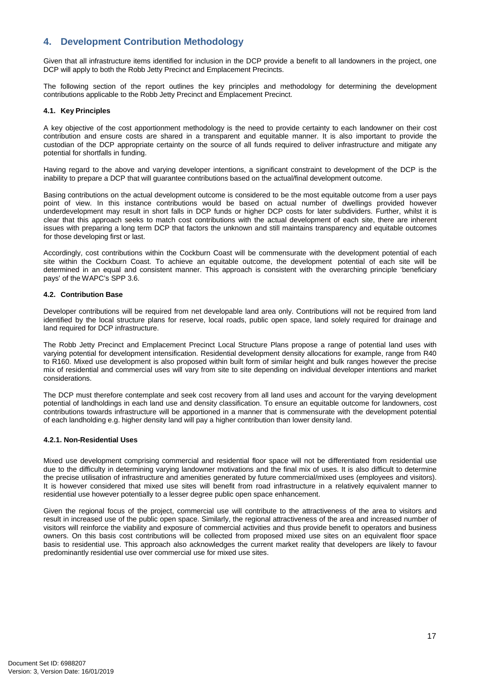# <span id="page-15-0"></span>**4. Development Contribution Methodology**

Given that all infrastructure items identified for inclusion in the DCP provide a benefit to all landowners in the project, one DCP will apply to both the Robb Jetty Precinct and Emplacement Precincts.

The following section of the report outlines the key principles and methodology for determining the development contributions applicable to the Robb Jetty Precinct and Emplacement Precinct.

#### <span id="page-15-1"></span>**4.1. Key Principles**

A key objective of the cost apportionment methodology is the need to provide certainty to each landowner on their cost contribution and ensure costs are shared in a transparent and equitable manner. It is also important to provide the custodian of the DCP appropriate certainty on the source of all funds required to deliver infrastructure and mitigate any potential for shortfalls in funding.

Having regard to the above and varying developer intentions, a significant constraint to development of the DCP is the inability to prepare a DCP that will guarantee contributions based on the actual/final development outcome.

Basing contributions on the actual development outcome is considered to be the most equitable outcome from a user pays point of view. In this instance contributions would be based on actual number of dwellings provided however underdevelopment may result in short falls in DCP funds or higher DCP costs for later subdividers. Further, whilst it is clear that this approach seeks to match cost contributions with the actual development of each site, there are inherent issues with preparing a long term DCP that factors the unknown and still maintains transparency and equitable outcomes for those developing first or last.

Accordingly, cost contributions within the Cockburn Coast will be commensurate with the development potential of each site within the Cockburn Coast. To achieve an equitable outcome, the development potential of each site will be determined in an equal and consistent manner. This approach is consistent with the overarching principle 'beneficiary pays' of the WAPC's SPP 3.6.

#### <span id="page-15-2"></span>**4.2. Contribution Base**

Developer contributions will be required from net developable land area only. Contributions will not be required from land identified by the local structure plans for reserve, local roads, public open space, land solely required for drainage and land required for DCP infrastructure.

The Robb Jetty Precinct and Emplacement Precinct Local Structure Plans propose a range of potential land uses with varying potential for development intensification. Residential development density allocations for example, range from R40 to R160. Mixed use development is also proposed within built form of similar height and bulk ranges however the precise mix of residential and commercial uses will vary from site to site depending on individual developer intentions and market considerations.

The DCP must therefore contemplate and seek cost recovery from all land uses and account for the varying development potential of landholdings in each land use and density classification. To ensure an equitable outcome for landowners, cost contributions towards infrastructure will be apportioned in a manner that is commensurate with the development potential of each landholding e.g. higher density land will pay a higher contribution than lower density land.

#### <span id="page-15-3"></span>**4.2.1. Non-Residential Uses**

Mixed use development comprising commercial and residential floor space will not be differentiated from residential use due to the difficulty in determining varying landowner motivations and the final mix of uses. It is also difficult to determine the precise utilisation of infrastructure and amenities generated by future commercial/mixed uses (employees and visitors). It is however considered that mixed use sites will benefit from road infrastructure in a relatively equivalent manner to residential use however potentially to a lesser degree public open space enhancement.

Given the regional focus of the project, commercial use will contribute to the attractiveness of the area to visitors and result in increased use of the public open space. Similarly, the regional attractiveness of the area and increased number of visitors will reinforce the viability and exposure of commercial activities and thus provide benefit to operators and business owners. On this basis cost contributions will be collected from proposed mixed use sites on an equivalent floor space basis to residential use. This approach also acknowledges the current market reality that developers are likely to favour predominantly residential use over commercial use for mixed use sites.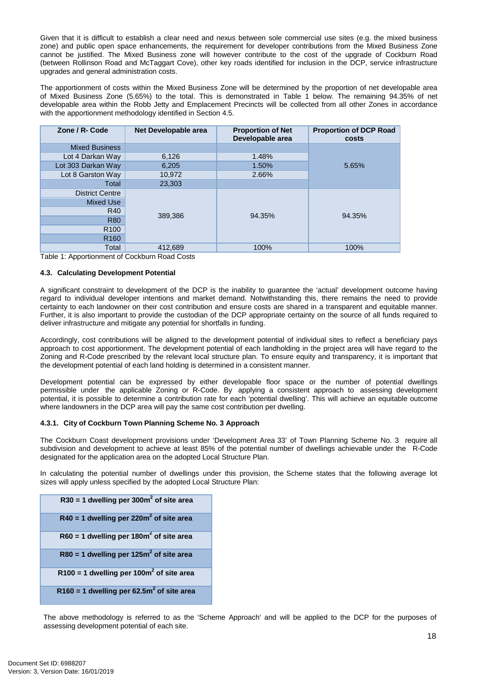Given that it is difficult to establish a clear need and nexus between sole commercial use sites (e.g. the mixed business zone) and public open space enhancements, the requirement for developer contributions from the Mixed Business Zone cannot be justified. The Mixed Business zone will however contribute to the cost of the upgrade of Cockburn Road (between Rollinson Road and McTaggart Cove), other key roads identified for inclusion in the DCP, service infrastructure upgrades and general administration costs.

The apportionment of costs within the Mixed Business Zone will be determined by the proportion of net developable area of Mixed Business Zone (5.65%) to the total. This is demonstrated in Table 1 below. The remaining 94.35% of net developable area within the Robb Jetty and Emplacement Precincts will be collected from all other Zones in accordance with the apportionment methodology identified in Section 4.5.

| Zone / R- Code         | Net Developable area | <b>Proportion of Net</b><br>Developable area | <b>Proportion of DCP Road</b><br>costs |
|------------------------|----------------------|----------------------------------------------|----------------------------------------|
| <b>Mixed Business</b>  |                      |                                              |                                        |
| Lot 4 Darkan Way       | 6,126                | 1.48%                                        |                                        |
| Lot 303 Darkan Way     | 6,205                | 1.50%                                        | 5.65%                                  |
| Lot 8 Garston Way      | 10,972               | 2.66%                                        |                                        |
| Total                  | 23,303               |                                              |                                        |
| <b>District Centre</b> |                      |                                              |                                        |
| <b>Mixed Use</b>       |                      |                                              |                                        |
| R40                    |                      |                                              |                                        |
| <b>R80</b>             | 389,386              | 94.35%                                       | 94.35%                                 |
| R <sub>100</sub>       |                      |                                              |                                        |
| R <sub>160</sub>       |                      |                                              |                                        |
| Total                  | 412.689              | 100%                                         | 100%                                   |

Table 1: Apportionment of Cockburn Road Costs

#### <span id="page-16-0"></span>**4.3. Calculating Development Potential**

A significant constraint to development of the DCP is the inability to guarantee the 'actual' development outcome having regard to individual developer intentions and market demand. Notwithstanding this, there remains the need to provide certainty to each landowner on their cost contribution and ensure costs are shared in a transparent and equitable manner. Further, it is also important to provide the custodian of the DCP appropriate certainty on the source of all funds required to deliver infrastructure and mitigate any potential for shortfalls in funding.

Accordingly, cost contributions will be aligned to the development potential of individual sites to reflect a beneficiary pays approach to cost apportionment. The development potential of each landholding in the project area will have regard to the Zoning and R-Code prescribed by the relevant local structure plan. To ensure equity and transparency, it is important that the development potential of each land holding is determined in a consistent manner.

Development potential can be expressed by either developable floor space or the number of potential dwellings permissible under the applicable Zoning or R-Code. By applying a consistent approach to assessing development potential, it is possible to determine a contribution rate for each 'potential dwelling'. This will achieve an equitable outcome where landowners in the DCP area will pay the same cost contribution per dwelling.

#### **4.3.1. City of Cockburn Town Planning Scheme No. 3 Approach**

The Cockburn Coast development provisions under 'Development Area 33' of Town Planning Scheme No. 3 require all subdivision and development to achieve at least 85% of the potential number of dwellings achievable under the R-Code designated for the application area on the adopted Local Structure Plan.

In calculating the potential number of dwellings under this provision, the Scheme states that the following average lot sizes will apply unless specified by the adopted Local Structure Plan:

| R30 = 1 dwelling per 300 $m2$ of site area            |
|-------------------------------------------------------|
| $R40 = 1$ dwelling per 220m <sup>2</sup> of site area |
| $R60 = 1$ dwelling per 180m <sup>2</sup> of site area |
| R80 = 1 dwelling per 125 $m2$ of site area            |
| R100 = 1 dwelling per 100 $m2$ of site area           |
| R160 = 1 dwelling per 62.5 $m2$ of site area          |

The above methodology is referred to as the 'Scheme Approach' and will be applied to the DCP for the purposes of assessing development potential of each site.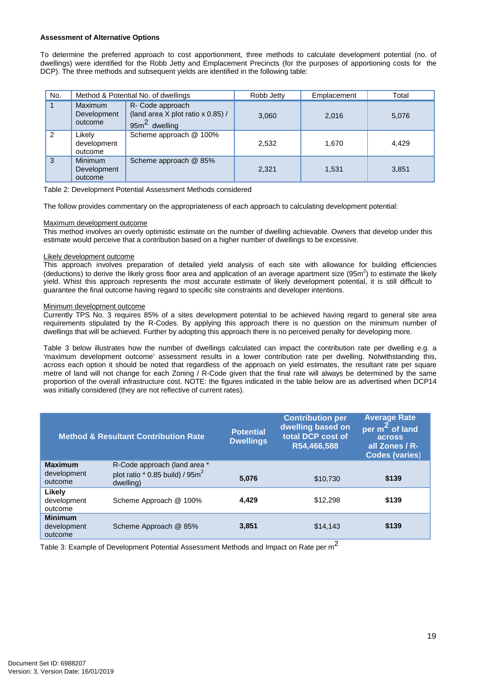#### **Assessment of Alternative Options**

To determine the preferred approach to cost apportionment, three methods to calculate development potential (no. of dwellings) were identified for the Robb Jetty and Emplacement Precincts (for the purposes of apportioning costs for the DCP). The three methods and subsequent yields are identified in the following table:

| No.            |                                          | Method & Potential No. of dwellings                                      | Robb Jetty | Emplacement | Total |
|----------------|------------------------------------------|--------------------------------------------------------------------------|------------|-------------|-------|
|                | Maximum<br>Development<br>outcome        | R- Code approach<br>(land area X plot ratio x 0.85) /<br>$95m2$ dwelling | 3,060      | 2,016       | 5,076 |
| $\overline{2}$ | Likelv<br>development<br>outcome         | Scheme approach @ 100%                                                   | 2.532      | 1.670       | 4.429 |
| 3              | <b>Minimum</b><br>Development<br>outcome | Scheme approach @ 85%                                                    | 2,321      | 1,531       | 3,851 |

Table 2: Development Potential Assessment Methods considered

The follow provides commentary on the appropriateness of each approach to calculating development potential:

#### Maximum development outcome

This method involves an overly optimistic estimate on the number of dwelling achievable. Owners that develop under this estimate would perceive that a contribution based on a higher number of dwellings to be excessive.

#### Likely development outcome

This approach involves preparation of detailed yield analysis of each site with allowance for building efficiencies (deductions) to derive the likely gross floor area and application of an average apartment size (95m<sup>2</sup>) to estimate the likely yield. Whist this approach represents the most accurate estimate of likely development potential, it is still difficult to guarantee the final outcome having regard to specific site constraints and developer intentions.

#### Minimum development outcome

Currently TPS No. 3 requires 85% of a sites development potential to be achieved having regard to general site area requirements stipulated by the R-Codes. By applying this approach there is no question on the minimum number of dwellings that will be achieved. Further by adopting this approach there is no perceived penalty for developing more.

Table 3 below illustrates how the number of dwellings calculated can impact the contribution rate per dwelling e.g. a 'maximum development outcome' assessment results in a lower contribution rate per dwelling. Notwithstanding this, across each option it should be noted that regardless of the approach on yield estimates, the resultant rate per square metre of land will not change for each Zoning / R-Code given that the final rate will always be determined by the same proportion of the overall infrastructure cost. NOTE: the figures indicated in the table below are as advertised when DCP14 was initially considered (they are not reflective of current rates).

|                                          | <b>Method &amp; Resultant Contribution Rate</b>                                   | <b>Potential</b><br><b>Dwellings</b> | <b>Contribution per</b><br>dwelling based on<br>total DCP cost of<br>R54,466,588 | <b>Average Rate</b><br>per m <sup>2</sup> of land<br>across<br>all Zones / R-<br><b>Codes (varies)</b> |
|------------------------------------------|-----------------------------------------------------------------------------------|--------------------------------------|----------------------------------------------------------------------------------|--------------------------------------------------------------------------------------------------------|
| <b>Maximum</b><br>development<br>outcome | R-Code approach (land area *<br>plot ratio $*$ 0.85 build) / 95 $m2$<br>dwelling) | 5.076                                | \$10,730                                                                         | \$139                                                                                                  |
| Likely<br>development<br>outcome         | Scheme Approach @ 100%                                                            | 4.429                                | \$12,298                                                                         | \$139                                                                                                  |
| <b>Minimum</b><br>development<br>outcome | Scheme Approach @ 85%                                                             | 3.851                                | \$14,143                                                                         | \$139                                                                                                  |

Table 3: Example of Development Potential Assessment Methods and Impact on Rate per m<sup>2</sup>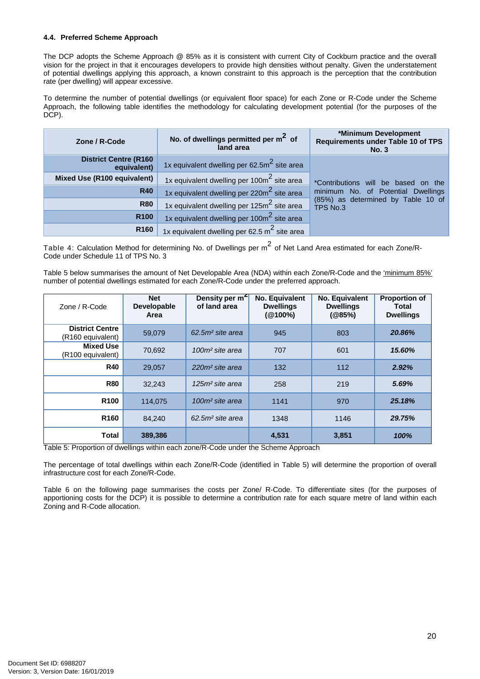#### <span id="page-18-0"></span>**4.4. Preferred Scheme Approach**

The DCP adopts the Scheme Approach @ 85% as it is consistent with current City of Cockburn practice and the overall vision for the project in that it encourages developers to provide high densities without penalty. Given the understatement of potential dwellings applying this approach, a known constraint to this approach is the perception that the contribution rate (per dwelling) will appear excessive.

To determine the number of potential dwellings (or equivalent floor space) for each Zone or R-Code under the Scheme Approach, the following table identifies the methodology for calculating development potential (for the purposes of the DCP).

| Zone / R-Code                                | No. of dwellings permitted per $m2$ of<br>land area    | *Minimum Development<br>Requirements under Table 10 of TPS<br><b>No. 3</b> |
|----------------------------------------------|--------------------------------------------------------|----------------------------------------------------------------------------|
| <b>District Centre (R160)</b><br>equivalent) | 1x equivalent dwelling per $62.52$ site area           |                                                                            |
| Mixed Use (R100 equivalent)                  | 1x equivalent dwelling per 100m <sup>2</sup> site area | *Contributions will be based on the                                        |
| <b>R40</b>                                   | 1x equivalent dwelling per 220m <sup>2</sup> site area | minimum No. of Potential Dwellings                                         |
| <b>R80</b>                                   | 1x equivalent dwelling per 125m <sup>2</sup> site area | (85%) as determined by Table 10 of<br>TPS No.3                             |
| R <sub>100</sub>                             | 1x equivalent dwelling per 100m <sup>2</sup> site area |                                                                            |
| R <sub>160</sub>                             | 1x equivalent dwelling per 62.5 $m2$ site area         |                                                                            |

Table 4: Calculation Method for determining No. of Dwellings per m<sup>2</sup> of Net Land Area estimated for each Zone/R-Code under Schedule 11 of TPS No. 3

Table 5 below summarises the amount of Net Developable Area (NDA) within each Zone/R-Code and the 'minimum 85%' number of potential dwellings estimated for each Zone/R-Code under the preferred approach.

| Zone / R-Code                                           | <b>Net</b><br><b>Developable</b><br>Area | Density per m <sup>2</sup><br>of land area | No. Equivalent<br><b>Dwellings</b><br>$(@100\%)$ | No. Equivalent<br><b>Dwellings</b><br>(@85%) | <b>Proportion of</b><br>Total<br><b>Dwellings</b> |
|---------------------------------------------------------|------------------------------------------|--------------------------------------------|--------------------------------------------------|----------------------------------------------|---------------------------------------------------|
| <b>District Centre</b><br>(R <sub>160</sub> equivalent) | 59.079                                   | 62.5m <sup>2</sup> site area               | 945                                              | 803                                          | 20.86%                                            |
| <b>Mixed Use</b><br>(R100 equivalent)                   | 70.692                                   | 100m <sup>2</sup> site area                | 707                                              | 601                                          | 15.60%                                            |
| <b>R40</b>                                              | 29,057                                   | 220m <sup>2</sup> site area                | 132                                              | 112                                          | 2.92%                                             |
| <b>R80</b>                                              | 32,243                                   | 125m <sup>2</sup> site area                | 258                                              | 219                                          | 5.69%                                             |
| <b>R100</b>                                             | 114.075                                  | 100m <sup>2</sup> site area                | 1141                                             | 970                                          | 25.18%                                            |
| <b>R160</b>                                             | 84.240                                   | $62.5m2$ site area                         | 1348                                             | 1146                                         | 29.75%                                            |
| Total                                                   | 389,386                                  |                                            | 4,531                                            | 3,851                                        | 100%                                              |

Table 5: Proportion of dwellings within each zone/R-Code under the Scheme Approach

The percentage of total dwellings within each Zone/R-Code (identified in Table 5) will determine the proportion of overall infrastructure cost for each Zone/R-Code.

Table 6 on the following page summarises the costs per Zone/ R-Code. To differentiate sites (for the purposes of apportioning costs for the DCP) it is possible to determine a contribution rate for each square metre of land within each Zoning and R-Code allocation.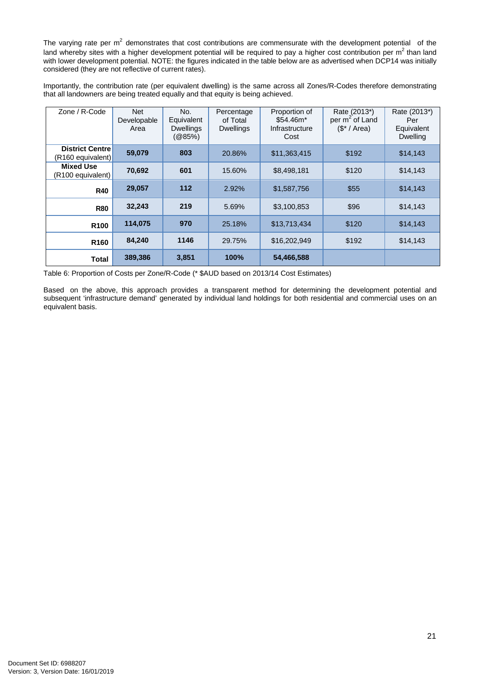The varying rate per  $m^2$  demonstrates that cost contributions are commensurate with the development potential of the land whereby sites with a higher development potential will be required to pay a higher cost contribution per  $m^2$  than land with lower development potential. NOTE: the figures indicated in the table below are as advertised when DCP14 was initially considered (they are not reflective of current rates).

Importantly, the contribution rate (per equivalent dwelling) is the same across all Zones/R-Codes therefore demonstrating that all landowners are being treated equally and that equity is being achieved.

| Zone / R-Code                                 | <b>Net</b><br>Developable<br>Area | No.<br>Equivalent<br><b>Dwellings</b><br>(Q85%) | Percentage<br>of Total<br><b>Dwellings</b> | Proportion of<br>$$54.46m*$<br>Infrastructure<br>Cost | Rate (2013*)<br>per m <sup>2</sup> of Land<br>$($* / Area)$ | Rate (2013*)<br>Per<br>Equivalent<br><b>Dwelling</b> |
|-----------------------------------------------|-----------------------------------|-------------------------------------------------|--------------------------------------------|-------------------------------------------------------|-------------------------------------------------------------|------------------------------------------------------|
| <b>District Centre</b><br>$(R160$ equivalent) | 59,079                            | 803                                             | 20.86%                                     | \$11,363,415                                          | \$192                                                       | \$14,143                                             |
| <b>Mixed Use</b><br>$(R100$ equivalent)       | 70,692                            | 601                                             | 15.60%                                     | \$8,498,181                                           | \$120                                                       | \$14,143                                             |
| <b>R40</b>                                    | 29,057                            | 112                                             | 2.92%                                      | \$1,587,756                                           | \$55                                                        | \$14,143                                             |
| <b>R80</b>                                    | 32,243                            | 219                                             | 5.69%                                      | \$3,100,853                                           | \$96                                                        | \$14,143                                             |
| R <sub>100</sub>                              | 114,075                           | 970                                             | 25.18%                                     | \$13,713,434                                          | \$120                                                       | \$14,143                                             |
| R <sub>160</sub>                              | 84,240                            | 1146                                            | 29.75%                                     | \$16,202,949                                          | \$192                                                       | \$14,143                                             |
| <b>Total</b>                                  | 389,386                           | 3,851                                           | 100%                                       | 54,466,588                                            |                                                             |                                                      |

Table 6: Proportion of Costs per Zone/R-Code (\* \$AUD based on 2013/14 Cost Estimates)

Based on the above, this approach provides a transparent method for determining the development potential and subsequent 'infrastructure demand' generated by individual land holdings for both residential and commercial uses on an equivalent basis.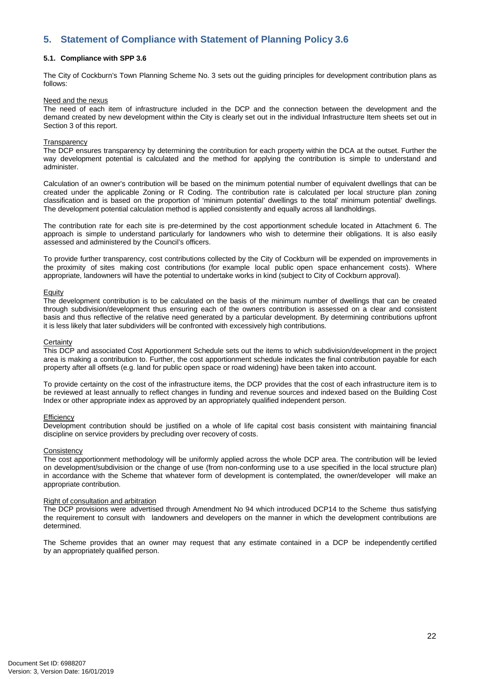# <span id="page-20-0"></span>**5. Statement of Compliance with Statement of Planning Policy 3.6**

#### <span id="page-20-1"></span>**5.1. Compliance with SPP 3.6**

The City of Cockburn's Town Planning Scheme No. 3 sets out the guiding principles for development contribution plans as follows:

#### Need and the nexus

The need of each item of infrastructure included in the DCP and the connection between the development and the demand created by new development within the City is clearly set out in the individual Infrastructure Item sheets set out in Section 3 of this report.

#### **Transparency**

The DCP ensures transparency by determining the contribution for each property within the DCA at the outset. Further the way development potential is calculated and the method for applying the contribution is simple to understand and administer.

Calculation of an owner's contribution will be based on the minimum potential number of equivalent dwellings that can be created under the applicable Zoning or R Coding. The contribution rate is calculated per local structure plan zoning classification and is based on the proportion of 'minimum potential' dwellings to the total' minimum potential' dwellings. The development potential calculation method is applied consistently and equally across all landholdings.

The contribution rate for each site is pre-determined by the cost apportionment schedule located in Attachment 6. The approach is simple to understand particularly for landowners who wish to determine their obligations. It is also easily assessed and administered by the Council's officers.

To provide further transparency, cost contributions collected by the City of Cockburn will be expended on improvements in the proximity of sites making cost contributions (for example local public open space enhancement costs). Where appropriate, landowners will have the potential to undertake works in kind (subject to City of Cockburn approval).

#### Equity

The development contribution is to be calculated on the basis of the minimum number of dwellings that can be created through subdivision/development thus ensuring each of the owners contribution is assessed on a clear and consistent basis and thus reflective of the relative need generated by a particular development. By determining contributions upfront it is less likely that later subdividers will be confronted with excessively high contributions.

#### **Certainty**

This DCP and associated Cost Apportionment Schedule sets out the items to which subdivision/development in the project area is making a contribution to. Further, the cost apportionment schedule indicates the final contribution payable for each property after all offsets (e.g. land for public open space or road widening) have been taken into account.

To provide certainty on the cost of the infrastructure items, the DCP provides that the cost of each infrastructure item is to be reviewed at least annually to reflect changes in funding and revenue sources and indexed based on the Building Cost Index or other appropriate index as approved by an appropriately qualified independent person.

#### **Efficiency**

Development contribution should be justified on a whole of life capital cost basis consistent with maintaining financial discipline on service providers by precluding over recovery of costs.

#### **Consistency**

The cost apportionment methodology will be uniformly applied across the whole DCP area. The contribution will be levied on development/subdivision or the change of use (from non-conforming use to a use specified in the local structure plan) in accordance with the Scheme that whatever form of development is contemplated, the owner/developer will make an appropriate contribution.

#### Right of consultation and arbitration

The DCP provisions were advertised through Amendment No 94 which introduced DCP14 to the Scheme thus satisfying the requirement to consult with landowners and developers on the manner in which the development contributions are determined.

The Scheme provides that an owner may request that any estimate contained in a DCP be independently certified by an appropriately qualified person.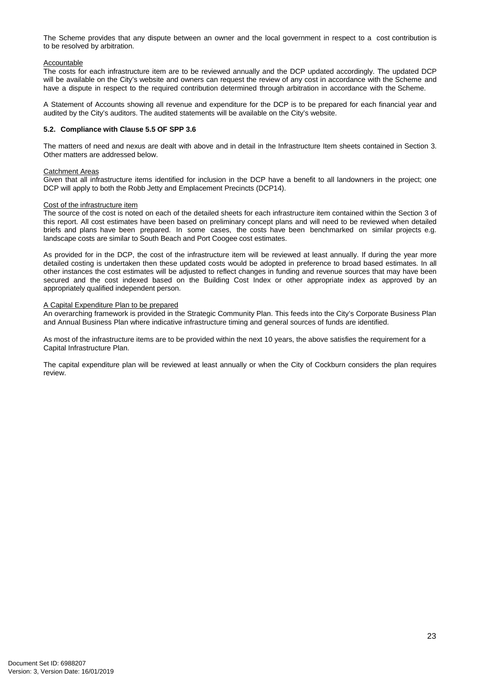The Scheme provides that any dispute between an owner and the local government in respect to a cost contribution is to be resolved by arbitration.

#### Accountable

The costs for each infrastructure item are to be reviewed annually and the DCP updated accordingly. The updated DCP will be available on the City's website and owners can request the review of any cost in accordance with the Scheme and have a dispute in respect to the required contribution determined through arbitration in accordance with the Scheme.

A Statement of Accounts showing all revenue and expenditure for the DCP is to be prepared for each financial year and audited by the City's auditors. The audited statements will be available on the City's website.

#### <span id="page-21-0"></span>**5.2. Compliance with Clause 5.5 OF SPP 3.6**

The matters of need and nexus are dealt with above and in detail in the Infrastructure Item sheets contained in Section 3. Other matters are addressed below.

#### Catchment Areas

Given that all infrastructure items identified for inclusion in the DCP have a benefit to all landowners in the project; one DCP will apply to both the Robb Jetty and Emplacement Precincts (DCP14).

#### Cost of the infrastructure item

The source of the cost is noted on each of the detailed sheets for each infrastructure item contained within the Section 3 of this report. All cost estimates have been based on preliminary concept plans and will need to be reviewed when detailed briefs and plans have been prepared. In some cases, the costs have been benchmarked on similar projects e.g. landscape costs are similar to South Beach and Port Coogee cost estimates.

As provided for in the DCP, the cost of the infrastructure item will be reviewed at least annually. If during the year more detailed costing is undertaken then these updated costs would be adopted in preference to broad based estimates. In all other instances the cost estimates will be adjusted to reflect changes in funding and revenue sources that may have been secured and the cost indexed based on the Building Cost Index or other appropriate index as approved by an appropriately qualified independent person.

#### A Capital Expenditure Plan to be prepared

An overarching framework is provided in the Strategic Community Plan. This feeds into the City's Corporate Business Plan and Annual Business Plan where indicative infrastructure timing and general sources of funds are identified.

As most of the infrastructure items are to be provided within the next 10 years, the above satisfies the requirement for a Capital Infrastructure Plan.

The capital expenditure plan will be reviewed at least annually or when the City of Cockburn considers the plan requires review.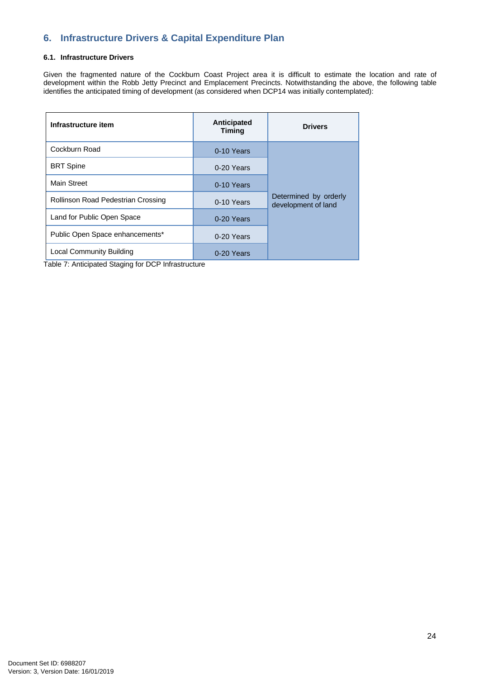# <span id="page-22-0"></span>**6. Infrastructure Drivers & Capital Expenditure Plan**

#### <span id="page-22-1"></span>**6.1. Infrastructure Drivers**

Given the fragmented nature of the Cockburn Coast Project area it is difficult to estimate the location and rate of development within the Robb Jetty Precinct and Emplacement Precincts. Notwithstanding the above, the following table identifies the anticipated timing of development (as considered when DCP14 was initially contemplated):

| Infrastructure item                | Anticipated<br><b>Timing</b> | <b>Drivers</b>                               |
|------------------------------------|------------------------------|----------------------------------------------|
| Cockburn Road                      | 0-10 Years                   |                                              |
| <b>BRT</b> Spine                   | 0-20 Years                   |                                              |
| Main Street                        | 0-10 Years                   |                                              |
| Rollinson Road Pedestrian Crossing | 0-10 Years                   | Determined by orderly<br>development of land |
| Land for Public Open Space         | 0-20 Years                   |                                              |
| Public Open Space enhancements*    | 0-20 Years                   |                                              |
| Local Community Building           | 0-20 Years                   |                                              |

Table 7: Anticipated Staging for DCP Infrastructure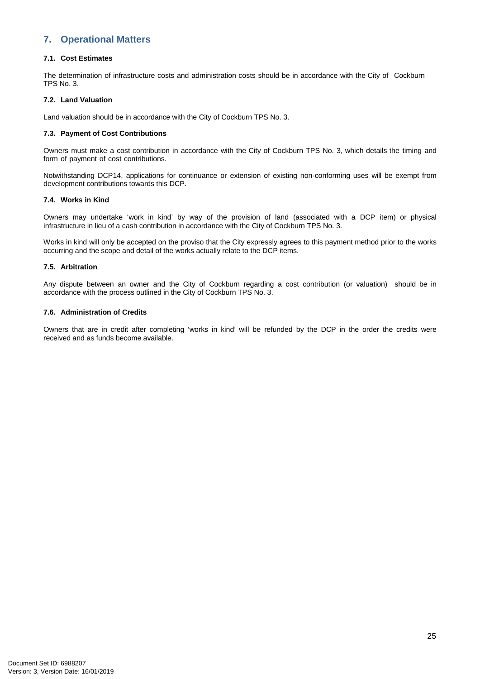# <span id="page-23-0"></span>**7. Operational Matters**

#### <span id="page-23-1"></span>**7.1. Cost Estimates**

The determination of infrastructure costs and administration costs should be in accordance with the City of Cockburn TPS No. 3.

#### <span id="page-23-2"></span>**7.2. Land Valuation**

Land valuation should be in accordance with the City of Cockburn TPS No. 3.

#### <span id="page-23-3"></span>**7.3. Payment of Cost Contributions**

Owners must make a cost contribution in accordance with the City of Cockburn TPS No. 3, which details the timing and form of payment of cost contributions.

Notwithstanding DCP14, applications for continuance or extension of existing non-conforming uses will be exempt from development contributions towards this DCP.

#### <span id="page-23-4"></span>**7.4. Works in Kind**

Owners may undertake 'work in kind' by way of the provision of land (associated with a DCP item) or physical infrastructure in lieu of a cash contribution in accordance with the City of Cockburn TPS No. 3.

Works in kind will only be accepted on the proviso that the City expressly agrees to this payment method prior to the works occurring and the scope and detail of the works actually relate to the DCP items.

#### <span id="page-23-5"></span>**7.5. Arbitration**

Any dispute between an owner and the City of Cockburn regarding a cost contribution (or valuation) should be in accordance with the process outlined in the City of Cockburn TPS No. 3.

#### <span id="page-23-6"></span>**7.6. Administration of Credits**

Owners that are in credit after completing 'works in kind' will be refunded by the DCP in the order the credits were received and as funds become available.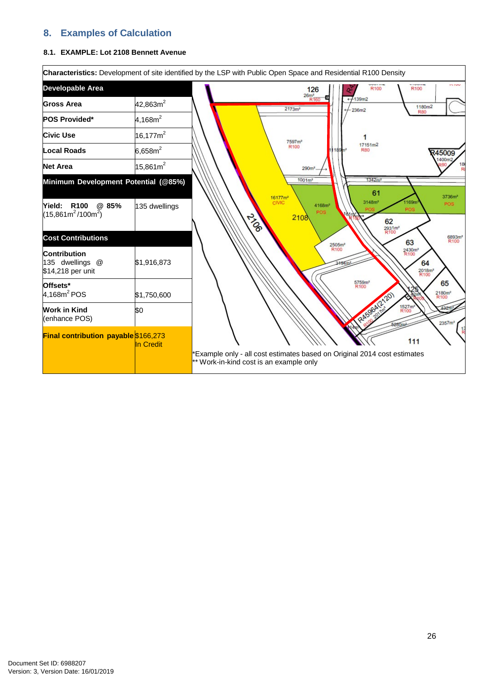# <span id="page-24-0"></span>**8. Examples of Calculation**

#### <span id="page-24-1"></span>**8.1. EXAMPLE: Lot 2108 Bennett Avenue**

|                                                             |                      | Characteristics: Development of site identified by the LSP with Public Open Space and Residential R100 Density                                                                                                                                                                                                                                                              |
|-------------------------------------------------------------|----------------------|-----------------------------------------------------------------------------------------------------------------------------------------------------------------------------------------------------------------------------------------------------------------------------------------------------------------------------------------------------------------------------|
| Developable Area                                            |                      | <b>TEMPHER</b><br><b>IN BUSH</b><br>R <sub>100</sub><br>R100<br>126                                                                                                                                                                                                                                                                                                         |
| <b>Gross Area</b>                                           | 42,863m <sup>2</sup> | $\frac{26m^2}{R160}$<br>7139m2<br>1180m <sup>2</sup><br>2173m <sup>2</sup><br>236m2<br><b>R80</b>                                                                                                                                                                                                                                                                           |
| <b>POS Provided*</b>                                        | 4,168m <sup>2</sup>  |                                                                                                                                                                                                                                                                                                                                                                             |
| <b>Civic Use</b>                                            | $16,177m^2$          | 7597m <sup>2</sup>                                                                                                                                                                                                                                                                                                                                                          |
| <b>Local Roads</b>                                          | $6,658m^2$           | 17151m2<br>R <sub>100</sub><br>11189m <sup>2</sup><br><b>R80</b><br>R45009                                                                                                                                                                                                                                                                                                  |
| <b>Net Area</b>                                             | $15,861m^2$          | 1400m2<br>186<br>290 <sup>m²</sup>                                                                                                                                                                                                                                                                                                                                          |
| Minimum Development Potential (@85%)                        |                      | 1342m<br>$1001m^2$<br>61                                                                                                                                                                                                                                                                                                                                                    |
| Yield: R100<br>@ 85%<br>$(15,861m^2/100m^2)$                | 135 dwellings        | 3736m <sup>2</sup><br>16177m <sup>2</sup><br>CIVIC<br>3148m <sup>2</sup><br><b>169m</b><br><b>POS</b><br>4168m <sup>2</sup><br>POS<br>POS<br>21960<br>2108<br>62                                                                                                                                                                                                            |
| <b>Cost Contributions</b>                                   |                      | 2931m <sup>2</sup><br>R100<br>6893m <sup>2</sup><br>R100<br>63                                                                                                                                                                                                                                                                                                              |
| <b>Contribution</b><br>135 dwellings @<br>\$14,218 per unit | \$1,916,873          | 2505m <sup>2</sup><br>R100<br>2430m <sup>2</sup><br>R100<br>64<br>2018m <sup>2</sup><br>R <sub>100</sub><br>5759m <sup>2</sup><br>R100<br>65<br>2180m <sup>2</sup><br>R100<br>RASBALLY201<br>1527m <sup>2</sup><br>R100<br>2357m <sup>2</sup><br>111<br>*Example only - all cost estimates based on Original 2014 cost estimates<br>** Work-in-kind cost is an example only |
| Offsets*<br>$4,168m2$ POS                                   | \$1,750,600          |                                                                                                                                                                                                                                                                                                                                                                             |
| <b>Work in Kind</b><br>(enhance POS)                        | \$0                  |                                                                                                                                                                                                                                                                                                                                                                             |
| <b>Final contribution payable \$166,273</b>                 | In Credit            |                                                                                                                                                                                                                                                                                                                                                                             |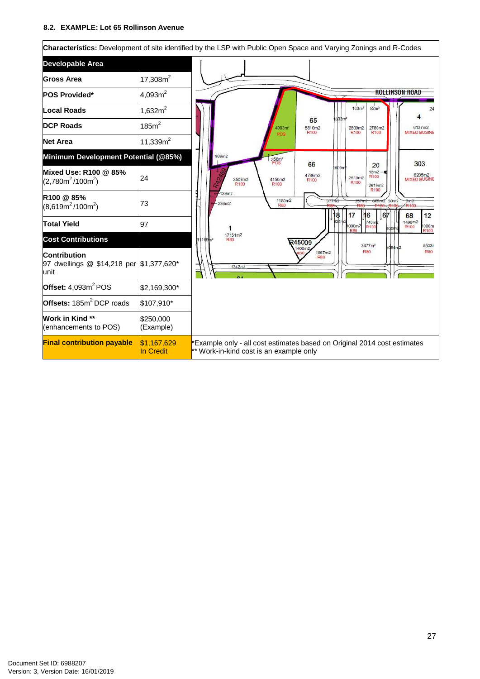#### <span id="page-25-0"></span>**8.2. EXAMPLE: Lot 65 Rollinson Avenue**

|                                                                         |                          | Characteristics: Development of site identified by the LSP with Public Open Space and Varying Zonings and R-Codes                                                                                                                                                                                                                                                                                                                    |
|-------------------------------------------------------------------------|--------------------------|--------------------------------------------------------------------------------------------------------------------------------------------------------------------------------------------------------------------------------------------------------------------------------------------------------------------------------------------------------------------------------------------------------------------------------------|
| <b>Developable Area</b>                                                 |                          |                                                                                                                                                                                                                                                                                                                                                                                                                                      |
| <b>Gross Area</b>                                                       | 17,308 $m2$              |                                                                                                                                                                                                                                                                                                                                                                                                                                      |
| <b>POS Provided*</b>                                                    | 4,093 $m^2$              | <b>ROLLINSON ROAD</b>                                                                                                                                                                                                                                                                                                                                                                                                                |
| <b>Local Roads</b>                                                      | 1,632 $m2$               | 103m <sup>2</sup><br>82m <sup>2</sup>                                                                                                                                                                                                                                                                                                                                                                                                |
| <b>DCP Roads</b>                                                        | 185m <sup>2</sup>        | 632m<br>65<br>4093m <sup>2</sup><br>5810m2<br>2809m2<br>2780m2<br>6127m2<br>R100<br>R100<br>R100<br><b>MIXED BUSINE</b><br>POS                                                                                                                                                                                                                                                                                                       |
| <b>Net Area</b>                                                         | 11,339 $m2$              |                                                                                                                                                                                                                                                                                                                                                                                                                                      |
| Minimum Development Potential (@85%)                                    |                          | 969m2<br>358m <sup>2</sup><br>POS<br>303<br>66<br>20                                                                                                                                                                                                                                                                                                                                                                                 |
| Mixed Use: R100 @ 85%<br>$(2,780m^2/100m^2)$                            | 24                       | 600m<br>$12m2 -$<br>6205m2<br>4786m2<br>R100<br>2610m2<br>4150m2<br><b>MIXED BUSINE</b><br>3507m2<br>R <sub>100</sub><br>R100<br>R100<br>R <sub>100</sub><br>2619m2<br>R <sub>100</sub><br>139m2<br>1180m2<br>377m2<br>257m2 665m2 30m2<br>2m2<br>236m2<br><b>R80</b><br>R <sub>100</sub><br>16<br>67<br>17<br>12<br>8<br>68<br><b>B24r</b><br>1498m2<br>743m<br>000m2<br>1000m<br>R <sub>100</sub><br><b>BO<sub>5</sub></b><br>R100 |
| R100 @ 85%<br>$(8,619m^2/100m^2)$                                       | 73                       |                                                                                                                                                                                                                                                                                                                                                                                                                                      |
| <b>Total Yield</b>                                                      | 97                       |                                                                                                                                                                                                                                                                                                                                                                                                                                      |
| <b>Cost Contributions</b>                                               |                          | 17151m2<br>1189m <sup>2</sup><br>RBO<br>345009<br>3477m <sup>2</sup><br>5533n<br>054 <sub>π</sub> 2                                                                                                                                                                                                                                                                                                                                  |
| <b>Contribution</b><br>97 dwellings @ \$14,218 per \$1,377,620*<br>unit |                          | 1400m2<br><b>R80</b><br><b>R80</b><br>1867m2<br><b>R80</b><br>1342m                                                                                                                                                                                                                                                                                                                                                                  |
| Offset: $4,093m^2$ POS                                                  | \$2,169,300*             |                                                                                                                                                                                                                                                                                                                                                                                                                                      |
| Offsets: 185m <sup>2</sup> DCP roads                                    | \$107,910*               |                                                                                                                                                                                                                                                                                                                                                                                                                                      |
| <b>Work in Kind **</b><br>(enhancements to POS)                         | \$250,000<br>(Example)   |                                                                                                                                                                                                                                                                                                                                                                                                                                      |
| <b>Final contribution payable</b>                                       | \$1,167,629<br>In Credit | Example only - all cost estimates based on Original 2014 cost estimates<br>** Work-in-kind cost is an example only                                                                                                                                                                                                                                                                                                                   |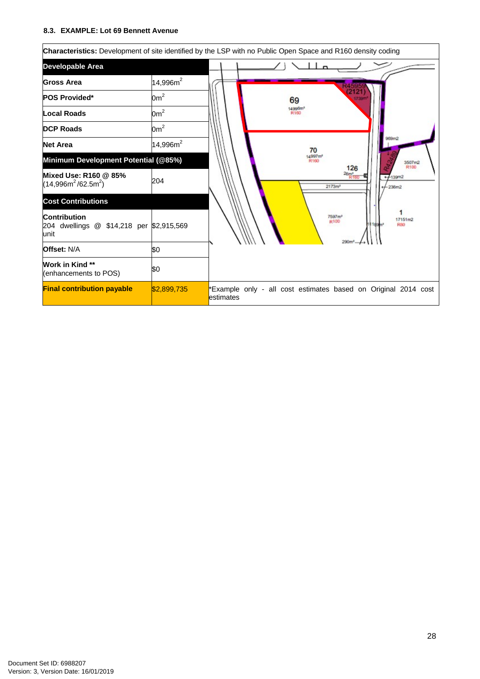#### <span id="page-26-0"></span>**8.3. EXAMPLE: Lot 69 Bennett Avenue**

|                                                                         |                | Characteristics: Development of site identified by the LSP with no Public Open Space and R160 density coding |  |
|-------------------------------------------------------------------------|----------------|--------------------------------------------------------------------------------------------------------------|--|
| Developable Area                                                        |                |                                                                                                              |  |
| <b>Gross Area</b>                                                       | $14,996m^2$    |                                                                                                              |  |
| <b>POS Provided*</b>                                                    | $0m^2$         | 69                                                                                                           |  |
| Local Roads                                                             | 0 <sup>2</sup> | 14996m <sup>3</sup><br>R160                                                                                  |  |
| <b>DCP Roads</b>                                                        | $0m^2$         | 969m2<br>70                                                                                                  |  |
| <b>Net Area</b>                                                         | 14,996 $m^2$   |                                                                                                              |  |
| Minimum Development Potential (@85%)                                    |                | 4997m <sup>2</sup><br>R160<br>3507m2<br>R100                                                                 |  |
| Mixed Use: R160 @ 85%<br>$(14,996m^2/62.5m^2)$                          | 204            | 126<br>26 <sub>m</sub><br>-139m2<br>2173m <sup>2</sup><br>236m2                                              |  |
| <b>Cost Contributions</b>                                               |                |                                                                                                              |  |
| <b>Contribution</b><br>204 dwellings @ \$14,218 per \$2,915,569<br>unit |                | 7597m <sup>a</sup><br>17151m2<br>R100<br>1189m<br><b>RNO</b>                                                 |  |
| <b>Offset: N/A</b>                                                      | \$0            |                                                                                                              |  |
| <b>Work in Kind **</b><br>(enhancements to POS)                         | \$0            |                                                                                                              |  |
| <b>Final contribution payable</b>                                       | \$2,899,735    | "Example only - all cost estimates based on Original 2014 cost<br>estimates                                  |  |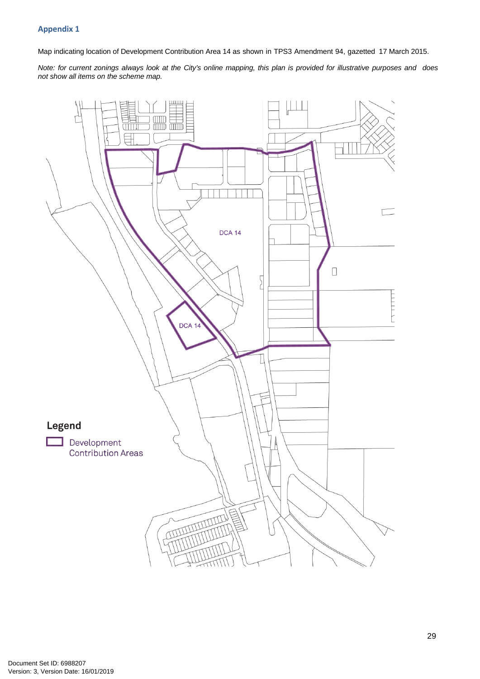#### **Appendix 1**

Map indicating location of Development Contribution Area 14 as shown in TPS3 Amendment 94, gazetted 17 March 2015.

Note: for current zonings always look at the City's online mapping, this plan is provided for illustrative purposes and does *not show all items on the scheme map.*